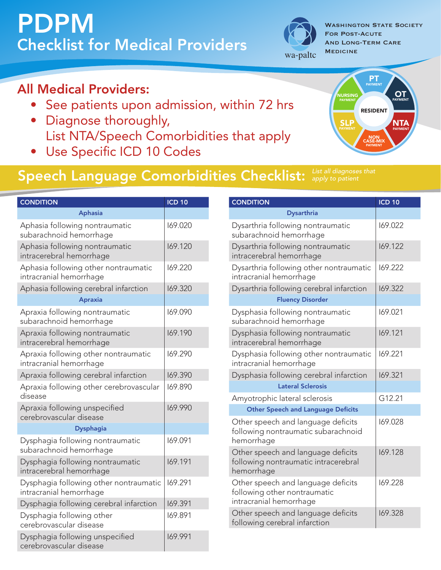# PDPM Checklist for Medical Providers



**WASHINGTON STATE SOCIETY** For Post-Acute And Long-Term Care

### All Medical Providers:

- • See patients upon admission, within 72 hrs
- Diagnose thoroughly, List NTA/Speech Comorbidities that apply
- • Use Specific ICD 10 Codes

### PT PAYMENT OT PAYMENT **NTA**<br>Payment SLP NURSING PAYMENT NON CASE-MIX PAYMENT RESIDENT

### Speech Language Comorbidities Checklist: *apply to patient*

|  | <b>CONDITION</b>                                                  | <b>ICD 10</b> |
|--|-------------------------------------------------------------------|---------------|
|  | <b>Aphasia</b>                                                    |               |
|  | Aphasia following nontraumatic<br>subarachnoid hemorrhage         | 169.020       |
|  | Aphasia following nontraumatic<br>intracerebral hemorrhage        | 169.120       |
|  | Aphasia following other nontraumatic<br>intracranial hemorrhage   | 169.220       |
|  | Aphasia following cerebral infarction                             | 169.320       |
|  | <b>Apraxia</b>                                                    |               |
|  | Apraxia following nontraumatic<br>subarachnoid hemorrhage         | 169.090       |
|  | Apraxia following nontraumatic<br>intracerebral hemorrhage        | 169.190       |
|  | Apraxia following other nontraumatic<br>intracranial hemorrhage   | 169.290       |
|  | Apraxia following cerebral infarction                             | 169.390       |
|  | Apraxia following other cerebrovascular<br>disease                | 169.890       |
|  | Apraxia following unspecified<br>cerebrovascular disease          | 169.990       |
|  | <b>Dysphagia</b>                                                  |               |
|  | Dysphagia following nontraumatic<br>subarachnoid hemorrhage       | 169.091       |
|  | Dysphagia following nontraumatic<br>intracerebral hemorrhage      | 169.191       |
|  | Dysphagia following other nontraumatic<br>intracranial hemorrhage | 169.291       |
|  | Dysphagia following cerebral infarction                           | 169.391       |
|  | Dysphagia following other<br>cerebrovascular disease              | 169.891       |
|  | Dysphagia following unspecified<br>cerebrovascular disease        | 169.991       |

| <b>CONDITION</b>                                                                              | <b>ICD 10</b> |
|-----------------------------------------------------------------------------------------------|---------------|
| <b>Dysarthria</b>                                                                             |               |
| Dysarthria following nontraumatic<br>subarachnoid hemorrhage                                  | 169.022       |
| Dysarthria following nontraumatic<br>intracerebral hemorrhage                                 | 169.122       |
| Dysarthria following other nontraumatic<br>intracranial hemorrhage                            | 169.222       |
| Dysarthria following cerebral infarction                                                      | 169.322       |
| <b>Fluency Disorder</b>                                                                       |               |
| Dysphasia following nontraumatic<br>subarachnoid hemorrhage                                   | 169.021       |
| Dysphasia following nontraumatic<br>intracerebral hemorrhage                                  | 169.121       |
| Dysphasia following other nontraumatic<br>intracranial hemorrhage                             | 169.221       |
| Dysphasia following cerebral infarction                                                       | 169.321       |
| <b>Lateral Sclerosis</b>                                                                      |               |
| Amyotrophic lateral sclerosis                                                                 | G12.21        |
| <b>Other Speech and Language Deficits</b>                                                     |               |
| Other speech and language deficits<br>following nontraumatic subarachnoid<br>hemorrhage       | 169.028       |
| Other speech and language deficits<br>following nontraumatic intracerebral<br>hemorrhage      | 169.128       |
| Other speech and language deficits<br>following other nontraumatic<br>intracranial hemorrhage | 169.228       |
| Other speech and language deficits<br>following cerebral infarction                           | 169.328       |